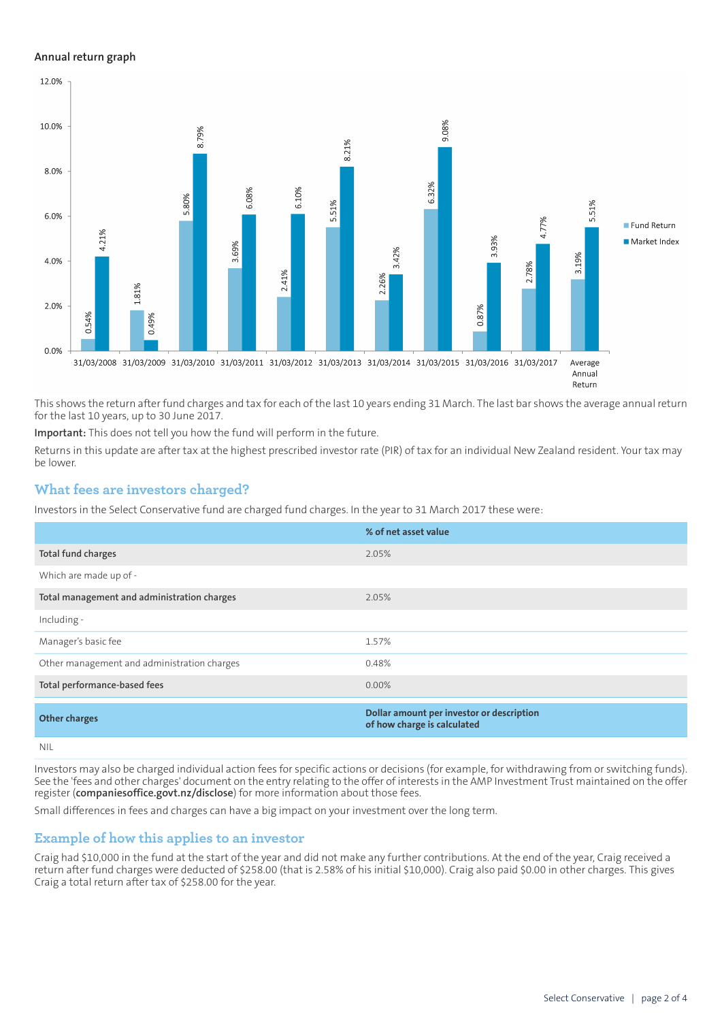#### **Annual return graph**



This shows the return after fund charges and tax for each of the last 10 years ending 31 March. The last bar shows the average annual return for the last 10 years, up to 30 June 2017.

**Important:** This does not tell you how the fund will perform in the future.

Returns in this update are after tax at the highest prescribed investor rate (PIR) of tax for an individual New Zealand resident. Your tax may be lower.

### **What fees are investors charged?**

Investors in the Select Conservative fund are charged fund charges. In the year to 31 March 2017 these were:

|                                             | % of net asset value                                                     |
|---------------------------------------------|--------------------------------------------------------------------------|
| Total fund charges                          | 2.05%                                                                    |
| Which are made up of -                      |                                                                          |
| Total management and administration charges | 2.05%                                                                    |
| Including -                                 |                                                                          |
| Manager's basic fee                         | 1.57%                                                                    |
| Other management and administration charges | 0.48%                                                                    |
| Total performance-based fees                | $0.00\%$                                                                 |
| <b>Other charges</b>                        | Dollar amount per investor or description<br>of how charge is calculated |
| <b>NIL</b>                                  |                                                                          |

Investors may also be charged individual action fees for specific actions or decisions (for example, for withdrawing from or switching funds). See the 'fees and other charges' document on the entry relating to the offer of interests in the AMP Investment Trust maintained on the offer register (**[companiesoffice.govt.nz/disclose](http://companiesoffice.govt.nz/disclose)**) for more information about those fees.

Small differences in fees and charges can have a big impact on your investment over the long term.

### **Example of how this applies to an investor**

Craig had \$10,000 in the fund at the start of the year and did not make any further contributions. At the end of the year, Craig received a return after fund charges were deducted of \$258.00 (that is 2.58% of his initial \$10,000). Craig also paid \$0.00 in other charges. This gives Craig a total return after tax of \$258.00 for the year.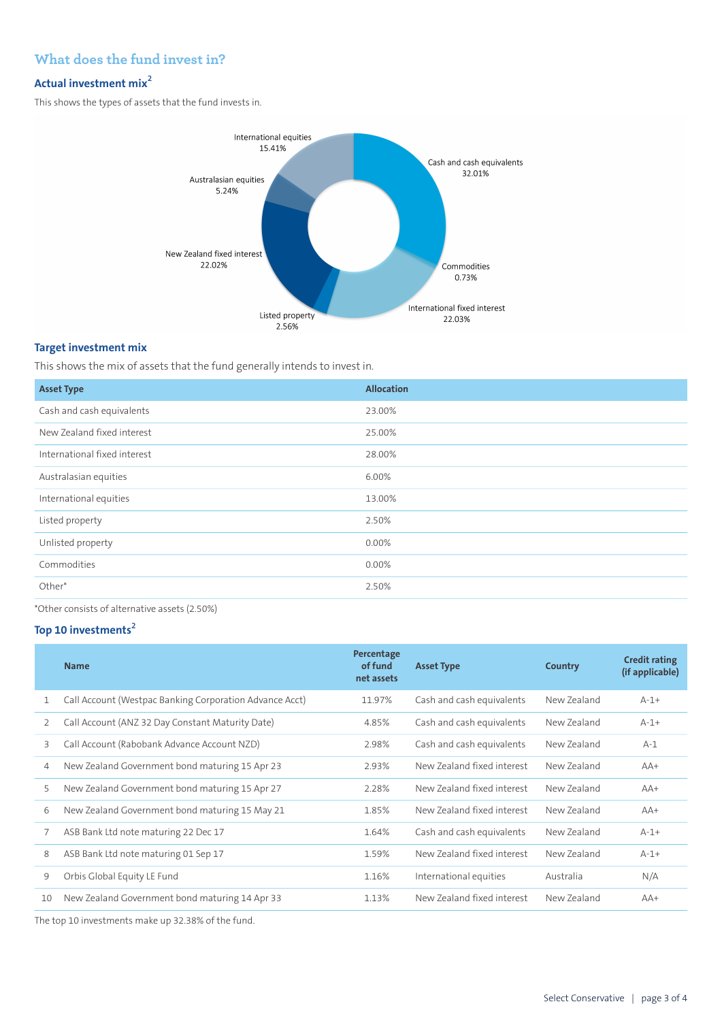## **What does the fund invest in?**

# **Actual investment mix<sup>2</sup>**

This shows the types of assets that the fund invests in.



#### **Target investment mix**

This shows the mix of assets that the fund generally intends to invest in.

| <b>Asset Type</b>            | <b>Allocation</b> |
|------------------------------|-------------------|
| Cash and cash equivalents    | 23.00%            |
| New Zealand fixed interest   | 25.00%            |
| International fixed interest | 28.00%            |
| Australasian equities        | 6.00%             |
| International equities       | 13.00%            |
| Listed property              | 2.50%             |
| Unlisted property            | 0.00%             |
| Commodities                  | 0.00%             |
| Other*                       | 2.50%             |

\*Other consists of alternative assets (2.50%)

#### **Top 10 investments<sup>2</sup>**

|    | <b>Name</b>                                             | Percentage<br>of fund<br>net assets | <b>Asset Type</b>          | Country     | <b>Credit rating</b><br>(if applicable) |
|----|---------------------------------------------------------|-------------------------------------|----------------------------|-------------|-----------------------------------------|
|    | Call Account (Westpac Banking Corporation Advance Acct) | 11.97%                              | Cash and cash equivalents  | New Zealand | $A-1+$                                  |
| 2  | Call Account (ANZ 32 Day Constant Maturity Date)        | 4.85%                               | Cash and cash equivalents  | New Zealand | $A-1+$                                  |
| 3  | Call Account (Rabobank Advance Account NZD)             | 2.98%                               | Cash and cash equivalents  | New Zealand | $A-1$                                   |
| 4  | New Zealand Government bond maturing 15 Apr 23          | 2.93%                               | New Zealand fixed interest | New Zealand | $AA+$                                   |
| 5  | New Zealand Government bond maturing 15 Apr 27          | 2.28%                               | New Zealand fixed interest | New Zealand | $AA+$                                   |
| 6  | New Zealand Government bond maturing 15 May 21          | 1.85%                               | New Zealand fixed interest | New Zealand | $AA+$                                   |
| 7  | ASB Bank Ltd note maturing 22 Dec 17                    | 1.64%                               | Cash and cash equivalents  | New Zealand | $A-1+$                                  |
| 8  | ASB Bank Ltd note maturing 01 Sep 17                    | 1.59%                               | New Zealand fixed interest | New Zealand | $A-1+$                                  |
| 9  | Orbis Global Equity LE Fund                             | 1.16%                               | International equities     | Australia   | N/A                                     |
| 10 | New Zealand Government bond maturing 14 Apr 33          | 1.13%                               | New Zealand fixed interest | New Zealand | $AA+$                                   |
|    |                                                         |                                     |                            |             |                                         |

The top 10 investments make up 32.38% of the fund.